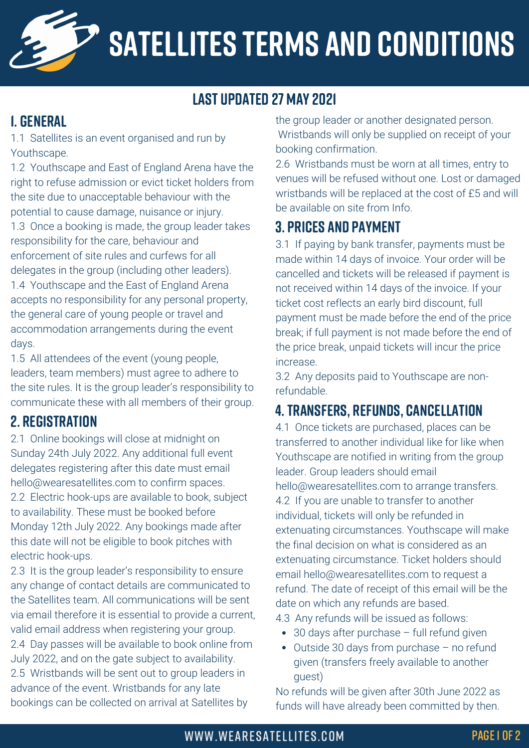

# SATELLITES TERMS AND CONDITIONS

### last updated 27 may 2021

### 1. GENERAL

1.1 Satellites is an event organised and run by Youthscape.

1.2 Youthscape and East of England Arena have the right to refuse admission or evict ticket holders from the site due to unacceptable behaviour with the potential to cause damage, nuisance or injury. 1.3 Once a booking is made, the group leader takes responsibility for the care, behaviour and enforcement of site rules and curfews for all delegates in the group (including other leaders). 1.4 Youthscape and the East of England Arena accepts no responsibility for any personal property, the general care of young people or travel and accommodation arrangements during the event days.

1.5 All attendees of the event (young people, leaders, team members) must agree to adhere to the site rules. It is the group leader's responsibility to communicate these with all members of their group.

#### 2. REGISTRATION

2.1 Online bookings will close at midnight on Sunday 24th July 2022. Any additional full event delegates registering after this date must email hello@wearesatellites.com to confirm spaces. 2.2 Electric hook-ups are available to book, subject to availability. These must be booked before Monday 12th July 2022. Any bookings made after this date will not be eligible to book pitches with electric hook-ups.

2.3 It is the group leader's responsibility to ensure any change of contact details are communicated to the Satellites team. All communications will be sent via email therefore it is essential to provide a current, valid email address when registering your group. 2.4 Day passes will be available to book online from July 2022, and on the gate subject to availability. 2.5 Wristbands will be sent out to group leaders in advance of the event. Wristbands for any late bookings can be collected on arrival at Satellites by

the group leader or another designated person. Wristbands will only be supplied on receipt of your booking confirmation.

2.6 Wristbands must be worn at all times, entry to venues will be refused without one. Lost or damaged wristbands will be replaced at the cost of £5 and will be available on site from Info.

#### 3. prices and payment

3.1 If paying by bank transfer, payments must be made within 14 days of invoice. Your order will be cancelled and tickets will be released if payment is not received within 14 days of the invoice. If your ticket cost reflects an early bird discount, full payment must be made before the end of the price break; if full payment is not made before the end of the price break, unpaid tickets will incur the price increase.

3.2 Any deposits paid to Youthscape are nonrefundable.

## 4.TRANSFERS, REFUNDS, CANCELLATION

4.1 Once tickets are purchased, places can be transferred to another individual like for like when Youthscape are notified in writing from the group leader. Group leaders should email hello@wearesatellites.com to arrange transfers. 4.2 If you are unable to transfer to another individual, tickets will only be refunded in extenuating circumstances. Youthscape will make the final decision on what is considered as an extenuating circumstance. Ticket holders should email hello@wearesatellites.com to request a refund. The date of receipt of this email will be the date on which any refunds are based.

4.3 Any refunds will be issued as follows:

- 30 days after purchase full refund given
- Outside 30 days from purchase no refund  $\bullet$ given (transfers freely available to another guest)

No refunds will be given after 30th June 2022 as funds will have already been committed by then.

#### WWW.WEARESATELLITES.COM